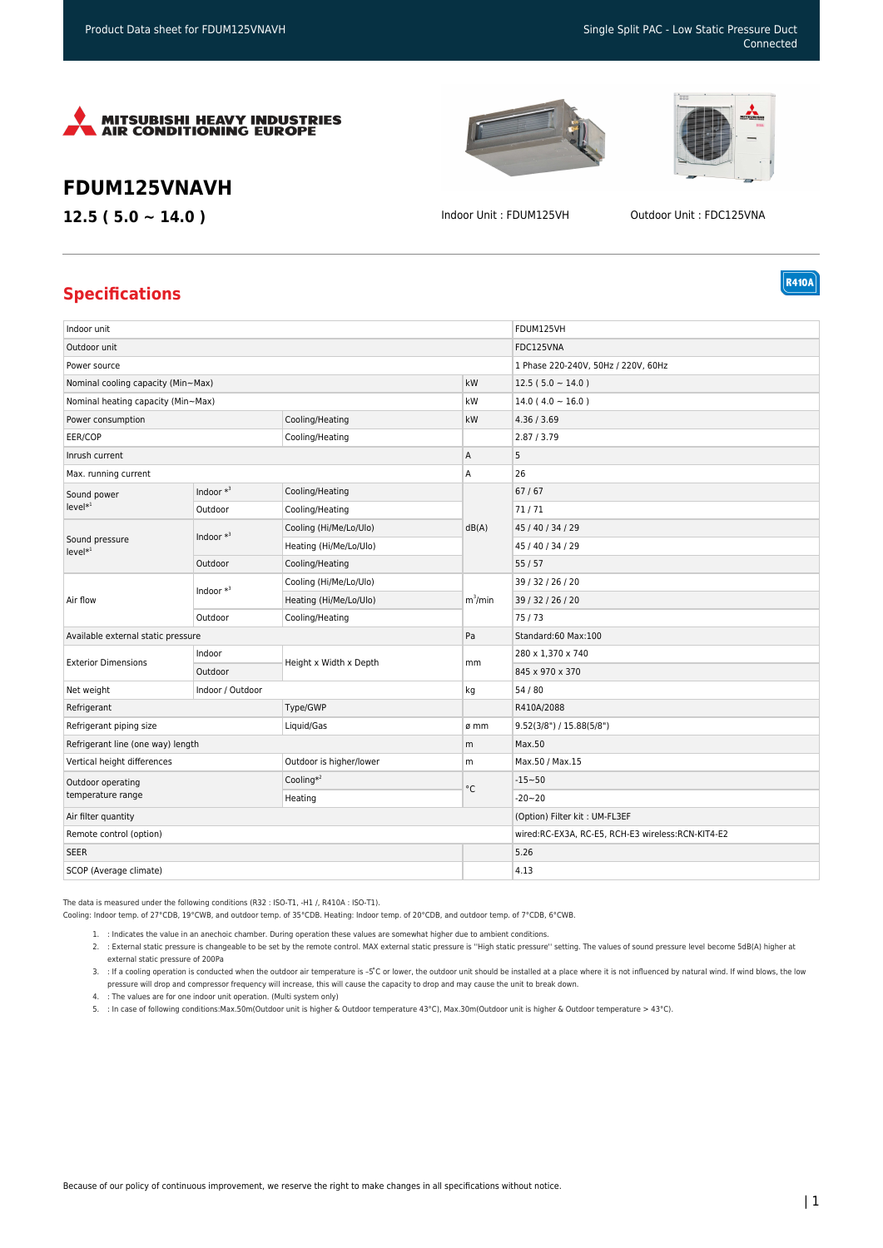





**R410A** 

## **FDUM125VNAVH**

**12.5 ( 5.0 ~ 14.0 )** Indoor Unit : FDUM125VH Outdoor Unit : FDC125VNA

## **Specifications**

| Indoor unit                            |              |                         |            | FDUM125VH                                         |
|----------------------------------------|--------------|-------------------------|------------|---------------------------------------------------|
| Outdoor unit                           |              |                         |            | FDC125VNA                                         |
| Power source                           |              |                         |            | 1 Phase 220-240V, 50Hz / 220V, 60Hz               |
| Nominal cooling capacity (Min~Max)     |              |                         | kW         | $12.5(5.0 \sim 14.0)$                             |
| Nominal heating capacity (Min~Max)     |              |                         | kW         | $14.0(4.0 \sim 16.0)$                             |
| Power consumption                      |              | Cooling/Heating         | kW         | 4.36 / 3.69                                       |
| EER/COP                                |              | Cooling/Heating         |            | 2.87 / 3.79                                       |
| Inrush current                         |              |                         | Α          | 5                                                 |
| Max. running current                   |              |                         | Α          | 26                                                |
| Sound power<br>$level*1$               | Indoor $*^3$ | Cooling/Heating         | dB(A)      | 67/67                                             |
|                                        | Outdoor      | Cooling/Heating         |            | 71/71                                             |
| Sound pressure<br>$level*1$            | Indoor $*^3$ | Cooling (Hi/Me/Lo/Ulo)  |            | 45 / 40 / 34 / 29                                 |
|                                        |              | Heating (Hi/Me/Lo/Ulo)  |            | 45 / 40 / 34 / 29                                 |
|                                        | Outdoor      | Cooling/Heating         |            | 55/57                                             |
| Air flow                               | Indoor $*^3$ | Cooling (Hi/Me/Lo/Ulo)  | $m^3/m$ in | 39 / 32 / 26 / 20                                 |
|                                        |              | Heating (Hi/Me/Lo/Ulo)  |            | 39 / 32 / 26 / 20                                 |
|                                        | Outdoor      | Cooling/Heating         |            | 75/73                                             |
| Available external static pressure     |              |                         | Pa         | Standard:60 Max:100                               |
| <b>Exterior Dimensions</b>             | Indoor       | Height x Width x Depth  | mm         | 280 x 1,370 x 740                                 |
|                                        | Outdoor      |                         |            | 845 x 970 x 370                                   |
| Indoor / Outdoor<br>Net weight         |              |                         | kg         | 54 / 80                                           |
| Refrigerant                            |              | Type/GWP                |            | R410A/2088                                        |
| Refrigerant piping size                |              | Liquid/Gas              | ø mm       | 9.52(3/8") / 15.88(5/8")                          |
| Refrigerant line (one way) length      |              |                         | m          | Max.50                                            |
| Vertical height differences            |              | Outdoor is higher/lower | m          | Max.50 / Max.15                                   |
| Outdoor operating<br>temperature range |              | Cooling $*^2$           | °C         | $-15 - 50$                                        |
|                                        |              | Heating                 |            | $-20 - 20$                                        |
| Air filter quantity                    |              |                         |            | (Option) Filter kit: UM-FL3EF                     |
| Remote control (option)                |              |                         |            | wired:RC-EX3A, RC-E5, RCH-E3 wireless:RCN-KIT4-E2 |
| <b>SEER</b>                            |              |                         |            | 5.26                                              |
| SCOP (Average climate)                 |              |                         |            | 4.13                                              |

The data is measured under the following conditions (R32 : ISO-T1, -H1 /, R410A : ISO-T1).

Cooling: Indoor temp. of 27°CDB, 19°CWB, and outdoor temp. of 35°CDB. Heating: Indoor temp. of 20°CDB, and outdoor temp. of 7°CDB, 6°CWB.

1. : Indicates the value in an anechoic chamber. During operation these values are somewhat higher due to ambient conditions.

2. : External static pressure is changeable to be set by the remote control. MAX external static pressure is ''High static pressure'' setting. The values of sound pressure level become 5dB(A) higher at external static pressure of 200Pa

3. : If a cooling operation is conducted when the outdoor air temperature is –5°C or lower, the outdoor unit should be installed at a place where it is not influenced by natural wind. If wind blows, the low pressure will drop and compressor frequency will increase, this will cause the capacity to drop and may cause the unit to break down.

- 4. : The values are for one indoor unit operation. (Multi system only)
- 5. : In case of following conditions:Max.50m(Outdoor unit is higher & Outdoor temperature 43°C), Max.30m(Outdoor unit is higher & Outdoor temperature > 43°C).